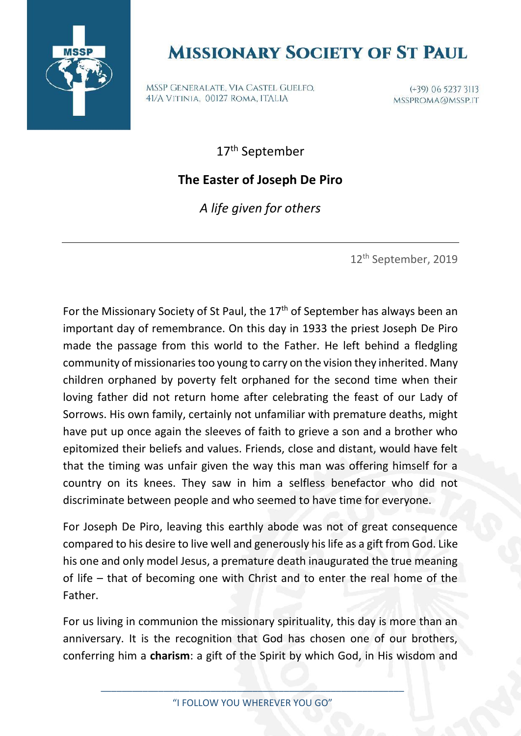

## **MISSIONARY SOCIETY OF ST PAUL**

MSSP GENERALATE, VIA CASTEL GUELFO, 41/A VITINIA, 00127 ROMA, ITALIA

 $(+39)$  06 5237 3113 MSSPROMA@MSSP.IT

17th September

## **The Easter of Joseph De Piro**

*A life given for others*

12th September, 2019

For the Missionary Society of St Paul, the  $17<sup>th</sup>$  of September has always been an important day of remembrance. On this day in 1933 the priest Joseph De Piro made the passage from this world to the Father. He left behind a fledgling community of missionaries too young to carry on the vision they inherited. Many children orphaned by poverty felt orphaned for the second time when their loving father did not return home after celebrating the feast of our Lady of Sorrows. His own family, certainly not unfamiliar with premature deaths, might have put up once again the sleeves of faith to grieve a son and a brother who epitomized their beliefs and values. Friends, close and distant, would have felt that the timing was unfair given the way this man was offering himself for a country on its knees. They saw in him a selfless benefactor who did not discriminate between people and who seemed to have time for everyone.

For Joseph De Piro, leaving this earthly abode was not of great consequence compared to his desire to live well and generously his life as a gift from God. Like his one and only model Jesus, a premature death inaugurated the true meaning of life – that of becoming one with Christ and to enter the real home of the Father.

For us living in communion the missionary spirituality, this day is more than an anniversary. It is the recognition that God has chosen one of our brothers, conferring him a **charism**: a gift of the Spirit by which God, in His wisdom and

\_\_\_\_\_\_\_\_\_\_\_\_\_\_\_\_\_\_\_\_\_\_\_\_\_\_\_\_\_\_\_\_\_\_\_\_\_\_\_\_\_\_\_\_\_\_\_\_\_\_\_\_\_\_\_\_\_\_ "I FOLLOW YOU WHEREVER YOU GO"